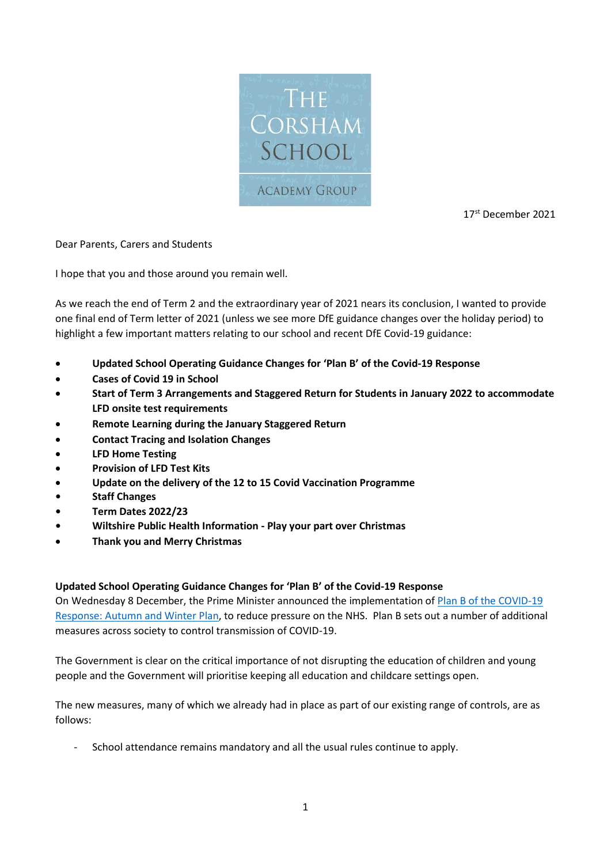

17<sup>st</sup> December 2021

Dear Parents, Carers and Students

I hope that you and those around you remain well.

As we reach the end of Term 2 and the extraordinary year of 2021 nears its conclusion, I wanted to provide one final end of Term letter of 2021 (unless we see more DfE guidance changes over the holiday period) to highlight a few important matters relating to our school and recent DfE Covid-19 guidance:

- **Updated School Operating Guidance Changes for 'Plan B' of the Covid-19 Response**
- **Cases of Covid 19 in School**
- **Start of Term 3 Arrangements and Staggered Return for Students in January 2022 to accommodate LFD onsite test requirements**
- **Remote Learning during the January Staggered Return**
- **Contact Tracing and Isolation Changes**
- **LFD Home Testing**
- **Provision of LFD Test Kits**
- **Update on the delivery of the 12 to 15 Covid Vaccination Programme**
- **• Staff Changes**
- **• Term Dates 2022/23**
- **• Wiltshire Public Health Information - Play your part over Christmas**
- **Thank you and Merry Christmas**

# **Updated School Operating Guidance Changes for 'Plan B' of the Covid-19 Response**

On Wednesday 8 December, the Prime Minister announced the implementation of [Plan B of the COVID-19](https://eur01.safelinks.protection.outlook.com/?url=https%3A%2F%2Fwww.gov.uk%2Fgovernment%2Fpublications%2Fcovid-19-response-autumn-and-winter-plan-2021%3Futm_source%3D7%2520December%25202021%2520C19%26utm_medium%3DDaily%2520Email%2520C19%26utm_campaign%3DDfE%2520C19&data=04%7C01%7Crbell%40corsham.wilts.sch.uk%7C22a08218999345396f6608d9baef94f1%7Cae2d489627854217a0ae572acf3597f9%7C0%7C0%7C637746360426938787%7CUnknown%7CTWFpbGZsb3d8eyJWIjoiMC4wLjAwMDAiLCJQIjoiV2luMzIiLCJBTiI6Ik1haWwiLCJXVCI6Mn0%3D%7C3000&sdata=LD9mmRFr9WPfI7zCFlp%2FExYaOBtjIRTRrG2tJ%2Fwps2k%3D&reserved=0)  [Response: Autumn and Winter Plan,](https://eur01.safelinks.protection.outlook.com/?url=https%3A%2F%2Fwww.gov.uk%2Fgovernment%2Fpublications%2Fcovid-19-response-autumn-and-winter-plan-2021%3Futm_source%3D7%2520December%25202021%2520C19%26utm_medium%3DDaily%2520Email%2520C19%26utm_campaign%3DDfE%2520C19&data=04%7C01%7Crbell%40corsham.wilts.sch.uk%7C22a08218999345396f6608d9baef94f1%7Cae2d489627854217a0ae572acf3597f9%7C0%7C0%7C637746360426938787%7CUnknown%7CTWFpbGZsb3d8eyJWIjoiMC4wLjAwMDAiLCJQIjoiV2luMzIiLCJBTiI6Ik1haWwiLCJXVCI6Mn0%3D%7C3000&sdata=LD9mmRFr9WPfI7zCFlp%2FExYaOBtjIRTRrG2tJ%2Fwps2k%3D&reserved=0) to reduce pressure on the NHS. Plan B sets out a number of additional measures across society to control transmission of COVID-19.

The Government is clear on the critical importance of not disrupting the education of children and young people and the Government will prioritise keeping all education and childcare settings open.

The new measures, many of which we already had in place as part of our existing range of controls, are as follows:

School attendance remains mandatory and all the usual rules continue to apply.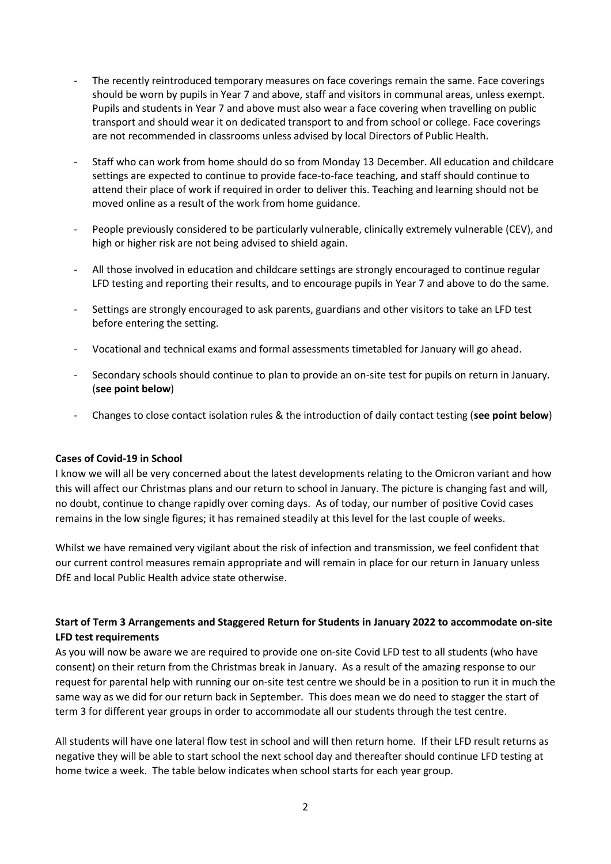- The recently reintroduced temporary measures on face coverings remain the same. Face coverings should be worn by pupils in Year 7 and above, staff and visitors in communal areas, unless exempt. Pupils and students in Year 7 and above must also wear a face covering when travelling on public transport and should wear it on dedicated transport to and from school or college. Face coverings are not recommended in classrooms unless advised by local Directors of Public Health.
- Staff who can work from home should do so from Monday 13 December. All education and childcare settings are expected to continue to provide face-to-face teaching, and staff should continue to attend their place of work if required in order to deliver this. Teaching and learning should not be moved online as a result of the work from home guidance.
- People previously considered to be particularly vulnerable, clinically extremely vulnerable (CEV), and high or higher risk are not being advised to shield again.
- All those involved in education and childcare settings are strongly encouraged to continue regular LFD testing and reporting their results, and to encourage pupils in Year 7 and above to do the same.
- Settings are strongly encouraged to ask parents, guardians and other visitors to take an LFD test before entering the setting.
- Vocational and technical exams and formal assessments timetabled for January will go ahead.
- Secondary schools should continue to plan to provide an on-site test for pupils on return in January. (**see point below**)
- Changes to close contact isolation rules & the introduction of daily contact testing (**see point below**)

#### **Cases of Covid-19 in School**

I know we will all be very concerned about the latest developments relating to the Omicron variant and how this will affect our Christmas plans and our return to school in January. The picture is changing fast and will, no doubt, continue to change rapidly over coming days. As of today, our number of positive Covid cases remains in the low single figures; it has remained steadily at this level for the last couple of weeks.

Whilst we have remained very vigilant about the risk of infection and transmission, we feel confident that our current control measures remain appropriate and will remain in place for our return in January unless DfE and local Public Health advice state otherwise.

# **Start of Term 3 Arrangements and Staggered Return for Students in January 2022 to accommodate on-site LFD test requirements**

As you will now be aware we are required to provide one on-site Covid LFD test to all students (who have consent) on their return from the Christmas break in January. As a result of the amazing response to our request for parental help with running our on-site test centre we should be in a position to run it in much the same way as we did for our return back in September. This does mean we do need to stagger the start of term 3 for different year groups in order to accommodate all our students through the test centre.

All students will have one lateral flow test in school and will then return home. If their LFD result returns as negative they will be able to start school the next school day and thereafter should continue LFD testing at home twice a week. The table below indicates when school starts for each year group.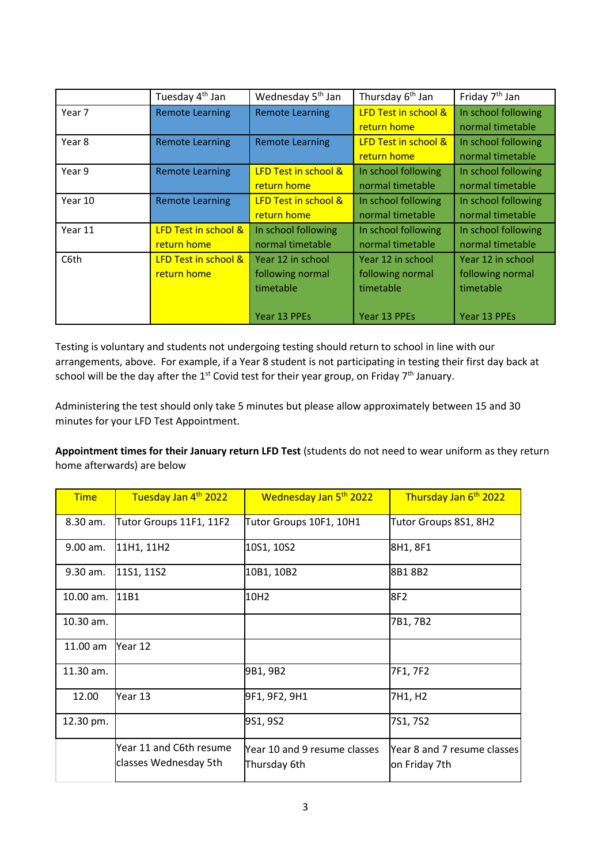|         | Tuesday 4 <sup>th</sup> Jan                    | Wednesday 5 <sup>th</sup> Jan                                      | Thursday 6 <sup>th</sup> Jan                                       | Friday 7 <sup>th</sup> Jan                                         |
|---------|------------------------------------------------|--------------------------------------------------------------------|--------------------------------------------------------------------|--------------------------------------------------------------------|
| Year 7  | <b>Remote Learning</b>                         | <b>Remote Learning</b>                                             | <b>LFD Test in school &amp;</b><br>return home                     | In school following<br>normal timetable                            |
| Year 8  | <b>Remote Learning</b>                         | Remote Learning                                                    | <b>LFD Test in school &amp;</b><br>return home                     | In school following<br>normal timetable                            |
| Year 9  | <b>Remote Learning</b>                         | <b>LFD Test in school &amp;</b><br>return home                     | In school following<br>normal timetable                            | In school following<br>normal timetable                            |
| Year 10 | <b>Remote Learning</b>                         | <b>LFD Test in school &amp;</b><br>return home                     | In school following<br>normal timetable                            | In school following<br>normal timetable                            |
| Year 11 | <b>LFD Test in school &amp;</b><br>return home | In school following<br>normal timetable                            | In school following<br>normal timetable                            | In school following<br>normal timetable                            |
| C6th    | LFD Test in school &<br>return home            | Year 12 in school<br>following normal<br>timetable<br>Year 13 PPEs | Year 12 in school<br>following normal<br>timetable<br>Year 13 PPEs | Year 12 in school<br>following normal<br>timetable<br>Year 13 PPEs |

Testing is voluntary and students not undergoing testing should return to school in line with our arrangements, above. For example, if a Year 8 student is not participating in testing their first day back at school will be the day after the  $1^{\text{st}}$  Covid test for their year group, on Friday 7<sup>th</sup> January.

Administering the test should only take 5 minutes but please allow approximately between 15 and 30 minutes for your LFD Test Appointment.

**Appointment times for their January return LFD Test** (students do not need to wear uniform as they return home afterwards) are below

| <b>Time</b> | Tuesday Jan 4th 2022                             | Wednesday Jan 5th 2022                       | Thursday Jan 6th 2022                        |
|-------------|--------------------------------------------------|----------------------------------------------|----------------------------------------------|
| $8.30$ am.  | Tutor Groups 11F1, 11F2                          | Tutor Groups 10F1, 10H1                      | Tutor Groups 8S1, 8H2                        |
| 9.00 am.    | 11H1, 11H2                                       | 10S1, 10S2                                   | 8H1, 8F1                                     |
| 9.30 am.    | 11S1, 11S2                                       | 10B1, 10B2                                   | 8B18B2                                       |
| $10.00$ am. | 11B1                                             | 10H2                                         | 8F2                                          |
| 10.30 am.   |                                                  |                                              | 7B1, 7B2                                     |
| $11.00$ am  | Year 12                                          |                                              |                                              |
| 11.30 am.   |                                                  | 9B1, 9B2                                     | 7F1, 7F2                                     |
| 12.00       | Year 13                                          | 9F1, 9F2, 9H1                                | 7H1, H2                                      |
| 12.30 pm.   |                                                  | 9S1, 9S2                                     | 7S1, 7S2                                     |
|             | Year 11 and C6th resume<br>classes Wednesday 5th | Year 10 and 9 resume classes<br>Thursday 6th | Year 8 and 7 resume classes<br>on Friday 7th |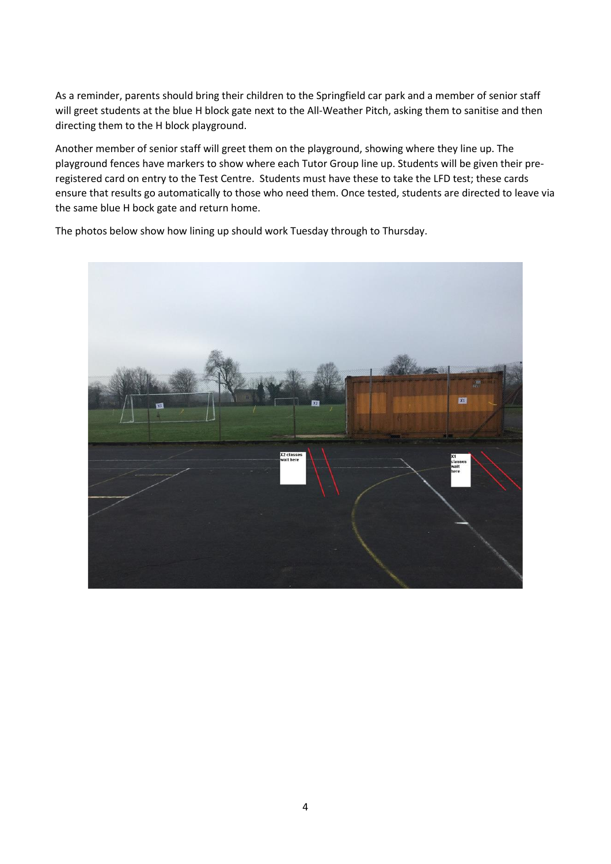As a reminder, parents should bring their children to the Springfield car park and a member of senior staff will greet students at the blue H block gate next to the All-Weather Pitch, asking them to sanitise and then directing them to the H block playground.

Another member of senior staff will greet them on the playground, showing where they line up. The playground fences have markers to show where each Tutor Group line up. Students will be given their preregistered card on entry to the Test Centre. Students must have these to take the LFD test; these cards ensure that results go automatically to those who need them. Once tested, students are directed to leave via the same blue H bock gate and return home.



The photos below show how lining up should work Tuesday through to Thursday.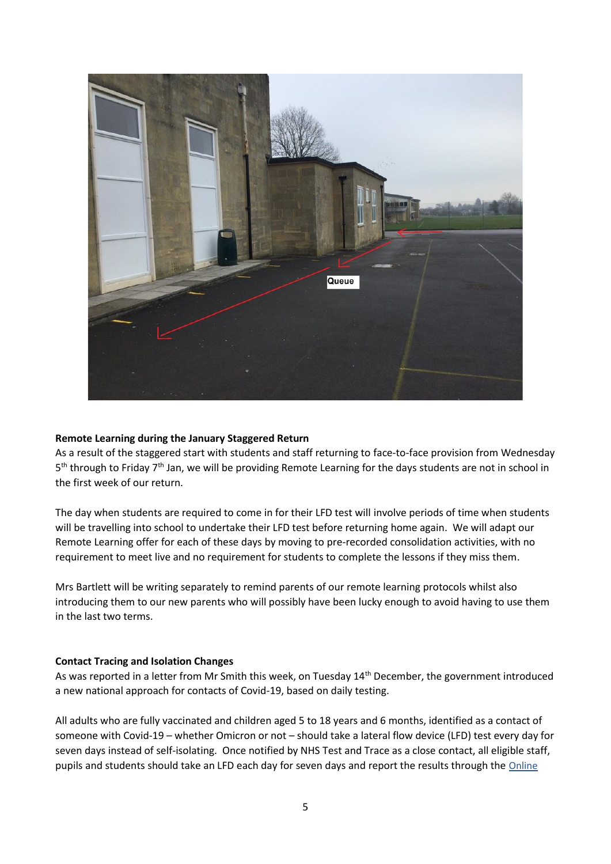

#### **Remote Learning during the January Staggered Return**

As a result of the staggered start with students and staff returning to face-to-face provision from Wednesday 5<sup>th</sup> through to Friday 7<sup>th</sup> Jan, we will be providing Remote Learning for the days students are not in school in the first week of our return.

The day when students are required to come in for their LFD test will involve periods of time when students will be travelling into school to undertake their LFD test before returning home again. We will adapt our Remote Learning offer for each of these days by moving to pre-recorded consolidation activities, with no requirement to meet live and no requirement for students to complete the lessons if they miss them.

Mrs Bartlett will be writing separately to remind parents of our remote learning protocols whilst also introducing them to our new parents who will possibly have been lucky enough to avoid having to use them in the last two terms.

#### **Contact Tracing and Isolation Changes**

As was reported in a letter from Mr Smith this week, on Tuesday 14<sup>th</sup> December, the government introduced a new national approach for contacts of Covid-19, based on daily testing.

All adults who are fully vaccinated and children aged 5 to 18 years and 6 months, identified as a contact of someone with Covid-19 – whether Omicron or not – should take a lateral flow device (LFD) test every day for seven days instead of self-isolating. Once notified by NHS Test and Trace as a close contact, all eligible staff, pupils and students should take an LFD each day for seven days and report the results through the Online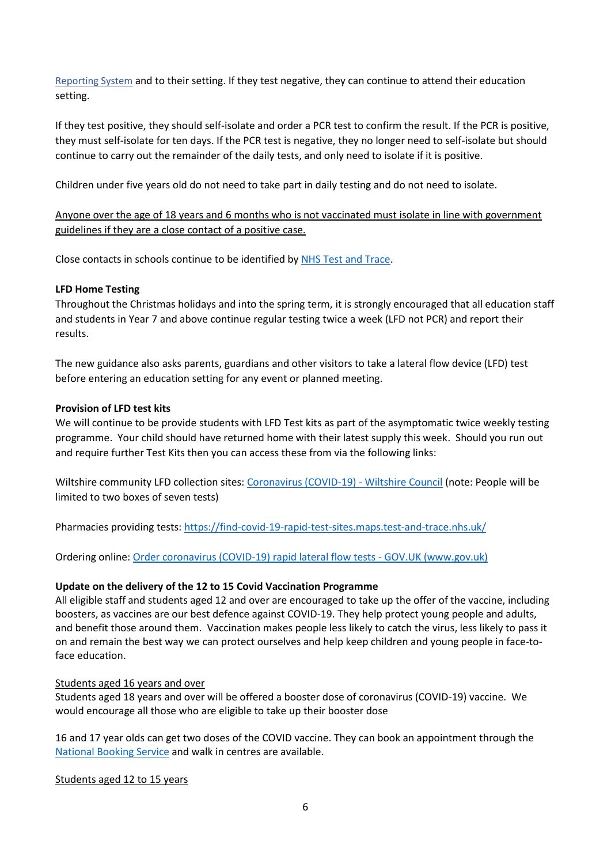[Reporting System](https://eur01.safelinks.protection.outlook.com/?url=https%3A%2F%2Fascl.us7.list-manage.com%2Ftrack%2Fclick%3Fu%3Ddae6fbf66d6135a8a21b3627d%26id%3D4ba7eb782c%26e%3Df4fda47392&data=04%7C01%7Crbell%40corsham.wilts.sch.uk%7Cfd465c74ca3b4f2e1cfd08d9bf1d3b51%7Cae2d489627854217a0ae572acf3597f9%7C0%7C0%7C637750954536267095%7CUnknown%7CTWFpbGZsb3d8eyJWIjoiMC4wLjAwMDAiLCJQIjoiV2luMzIiLCJBTiI6Ik1haWwiLCJXVCI6Mn0%3D%7C3000&sdata=RE2Ob%2FyP2AEIdKGA7nwBehipQoeA0FHX9NK5aQJ6ilM%3D&reserved=0) and to their setting. If they test negative, they can continue to attend their education setting.

If they test positive, they should self-isolate and order a PCR test to confirm the result. If the PCR is positive, they must self-isolate for ten days. If the PCR test is negative, they no longer need to self-isolate but should continue to carry out the remainder of the daily tests, and only need to isolate if it is positive.

Children under five years old do not need to take part in daily testing and do not need to isolate.

Anyone over the age of 18 years and 6 months who is not vaccinated must isolate in line with government guidelines if they are a close contact of a positive case.

Close contacts in schools continue to be identified b[y NHS Test and Trace.](https://eur01.safelinks.protection.outlook.com/?url=https%3A%2F%2Flnks.gd%2Fl%2FeyJhbGciOiJIUzI1NiJ9.eyJidWxsZXRpbl9saW5rX2lkIjoxMTYsInVyaSI6ImJwMjpjbGljayIsImJ1bGxldGluX2lkIjoiMjAyMTEyMTAuNTAwODE0MTEiLCJ1cmwiOiJodHRwczovL3d3dy5nb3YudWsvZ3VpZGFuY2UvbmhzLXRlc3QtYW5kLXRyYWNlLWhvdy1pdC13b3Jrcz91dG1fbWVkaXVtPWVtYWlsJnV0bV9zb3VyY2U9Z292ZGVsaXZlcnkifQ.dxKXPuh-JbeC6HAUV0zfLLjDJYSNn9HeO-YC5J-efc4%2Fs%2F741220530%2Fbr%2F122777048147-l&data=04%7C01%7CRBell%40corsham.wilts.sch.uk%7C8cbe0b7e49f84f94ca5308d9bbec4f44%7Cae2d489627854217a0ae572acf3597f9%7C0%7C0%7C637747447240870023%7CUnknown%7CTWFpbGZsb3d8eyJWIjoiMC4wLjAwMDAiLCJQIjoiV2luMzIiLCJBTiI6Ik1haWwiLCJXVCI6Mn0%3D%7C2000&sdata=hznpJlbd6IqbAQM%2B0DB9Pif1vbUDe9AY47RWdDJeZgk%3D&reserved=0)

## **LFD Home Testing**

Throughout the Christmas holidays and into the spring term, it is strongly encouraged that all education staff and students in Year 7 and above continue regular testing twice a week (LFD not PCR) and report their results.

The new guidance also asks parents, guardians and other visitors to take a lateral flow device (LFD) test before entering an education setting for any event or planned meeting.

## **Provision of LFD test kits**

We will continue to be provide students with LFD Test kits as part of the asymptomatic twice weekly testing programme. Your child should have returned home with their latest supply this week. Should you run out and require further Test Kits then you can access these from via the following links:

Wiltshire community LFD collection sites[: Coronavirus \(COVID-19\) -](https://eur01.safelinks.protection.outlook.com/?url=https%3A%2F%2Fwiltshire.us5.list-manage.com%2Ftrack%2Fclick%3Fu%3D2883905f726c9fc694bef8b9e%26id%3D497e366658%26e%3D96130e1e0d&data=04%7C01%7CRBell%40corsham.wilts.sch.uk%7C3655270b87034d2ef44d08d9bfd73e1f%7Cae2d489627854217a0ae572acf3597f9%7C0%7C0%7C637751753887882867%7CUnknown%7CTWFpbGZsb3d8eyJWIjoiMC4wLjAwMDAiLCJQIjoiV2luMzIiLCJBTiI6Ik1haWwiLCJXVCI6Mn0%3D%7C3000&sdata=IGAmW7iH84mPzbSAgBA5A1FirdSWyMx3gTEX3NvxEuk%3D&reserved=0) Wiltshire Council (note: People will be limited to two boxes of seven tests)

Pharmacies providing tests[: https://find-covid-19-rapid-test-sites.maps.test-and-trace.nhs.uk/](https://eur01.safelinks.protection.outlook.com/?url=https%3A%2F%2Fwiltshire.us5.list-manage.com%2Ftrack%2Fclick%3Fu%3D2883905f726c9fc694bef8b9e%26id%3D31711c1d72%26e%3D96130e1e0d&data=04%7C01%7CRBell%40corsham.wilts.sch.uk%7C3655270b87034d2ef44d08d9bfd73e1f%7Cae2d489627854217a0ae572acf3597f9%7C0%7C0%7C637751753887892823%7CUnknown%7CTWFpbGZsb3d8eyJWIjoiMC4wLjAwMDAiLCJQIjoiV2luMzIiLCJBTiI6Ik1haWwiLCJXVCI6Mn0%3D%7C3000&sdata=2skLinBFOiMJiDe4Q3xgBMcTszJUR0EttGD2b8%2BVs6Q%3D&reserved=0)

Ordering online[: Order coronavirus \(COVID-19\) rapid lateral flow tests -](https://eur01.safelinks.protection.outlook.com/?url=https%3A%2F%2Fwiltshire.us5.list-manage.com%2Ftrack%2Fclick%3Fu%3D2883905f726c9fc694bef8b9e%26id%3D019f8bab34%26e%3D96130e1e0d&data=04%7C01%7CRBell%40corsham.wilts.sch.uk%7C3655270b87034d2ef44d08d9bfd73e1f%7Cae2d489627854217a0ae572acf3597f9%7C0%7C0%7C637751753887902774%7CUnknown%7CTWFpbGZsb3d8eyJWIjoiMC4wLjAwMDAiLCJQIjoiV2luMzIiLCJBTiI6Ik1haWwiLCJXVCI6Mn0%3D%7C3000&sdata=Q7nYpel2tQyTa7tYOuyyLjzvBuX8Bohm0Kq6rYy8LAU%3D&reserved=0) GOV.UK (www.gov.uk)

#### **Update on the delivery of the 12 to 15 Covid Vaccination Programme**

All eligible staff and students aged 12 and over are encouraged to take up the offer of the vaccine, including boosters, as vaccines are our best defence against COVID-19. They help protect young people and adults, and benefit those around them. Vaccination makes people less likely to catch the virus, less likely to pass it on and remain the best way we can protect ourselves and help keep children and young people in face-toface education.

#### Students aged 16 years and over

Students aged 18 years and over will be offered a booster dose of coronavirus (COVID-19) vaccine. We would encourage all those who are eligible to take up their booster dose

16 and 17 year olds can get two doses of the COVID vaccine. They can book an appointment through the [National Booking Service](https://www.nhs.uk/conditions/coronavirus-covid-19/coronavirus-vaccination/book-coronavirus-vaccination/) and walk in centres are available.

Students aged 12 to 15 years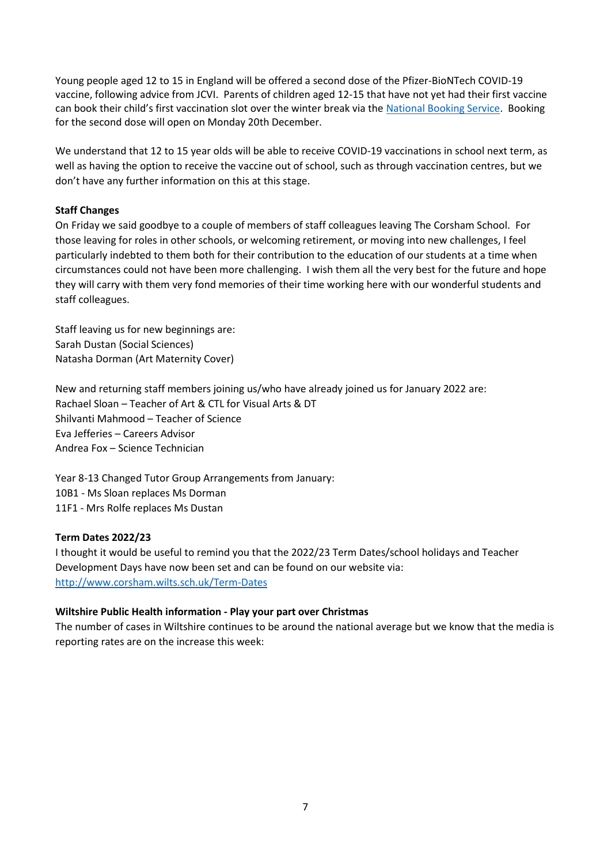Young people aged 12 to 15 in England will be offered a second dose of the Pfizer-BioNTech COVID-19 vaccine, following advice from JCVI. Parents of children aged 12-15 that have not yet had their first vaccine can book their child's first vaccination slot over the winter break via the [National Booking Service.](https://www.nhs.uk/conditions/coronavirus-covid-19/coronavirus-vaccination/book-coronavirus-vaccination/) Booking for the second dose will open on Monday 20th December.

We understand that 12 to 15 year olds will be able to receive COVID-19 vaccinations in school next term, as well as having the option to receive the vaccine out of school, such as through vaccination centres, but we don't have any further information on this at this stage.

## **Staff Changes**

On Friday we said goodbye to a couple of members of staff colleagues leaving The Corsham School. For those leaving for roles in other schools, or welcoming retirement, or moving into new challenges, I feel particularly indebted to them both for their contribution to the education of our students at a time when circumstances could not have been more challenging. I wish them all the very best for the future and hope they will carry with them very fond memories of their time working here with our wonderful students and staff colleagues.

Staff leaving us for new beginnings are: Sarah Dustan (Social Sciences) Natasha Dorman (Art Maternity Cover)

New and returning staff members joining us/who have already joined us for January 2022 are: Rachael Sloan – Teacher of Art & CTL for Visual Arts & DT Shilvanti Mahmood – Teacher of Science Eva Jefferies – Careers Advisor Andrea Fox – Science Technician

Year 8-13 Changed Tutor Group Arrangements from January: 10B1 - Ms Sloan replaces Ms Dorman 11F1 - Mrs Rolfe replaces Ms Dustan

#### **Term Dates 2022/23**

I thought it would be useful to remind you that the 2022/23 Term Dates/school holidays and Teacher Development Days have now been set and can be found on our website via: <http://www.corsham.wilts.sch.uk/Term-Dates>

#### **Wiltshire Public Health information - Play your part over Christmas**

The number of cases in Wiltshire continues to be around the national average but we know that the media is reporting rates are on the increase this week: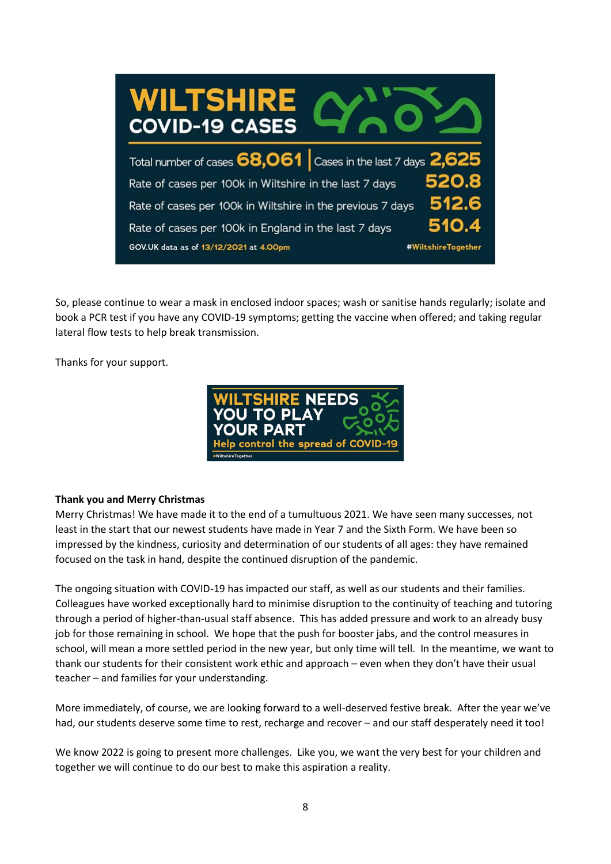

So, please continue to wear a mask in enclosed indoor spaces; wash or sanitise hands regularly; isolate and book a PCR test if you have any COVID-19 symptoms; getting the vaccine when offered; and taking regular lateral flow tests to help break transmission.

Thanks for your support.



# **Thank you and Merry Christmas**

Merry Christmas! We have made it to the end of a tumultuous 2021. We have seen many successes, not least in the start that our newest students have made in Year 7 and the Sixth Form. We have been so impressed by the kindness, curiosity and determination of our students of all ages: they have remained focused on the task in hand, despite the continued disruption of the pandemic.

The ongoing situation with COVID-19 has impacted our staff, as well as our students and their families. Colleagues have worked exceptionally hard to minimise disruption to the continuity of teaching and tutoring through a period of higher-than-usual staff absence. This has added pressure and work to an already busy job for those remaining in school. We hope that the push for booster jabs, and the control measures in school, will mean a more settled period in the new year, but only time will tell. In the meantime, we want to thank our students for their consistent work ethic and approach – even when they don't have their usual teacher – and families for your understanding.

More immediately, of course, we are looking forward to a well-deserved festive break. After the year we've had, our students deserve some time to rest, recharge and recover - and our staff desperately need it too!

We know 2022 is going to present more challenges. Like you, we want the very best for your children and together we will continue to do our best to make this aspiration a reality.